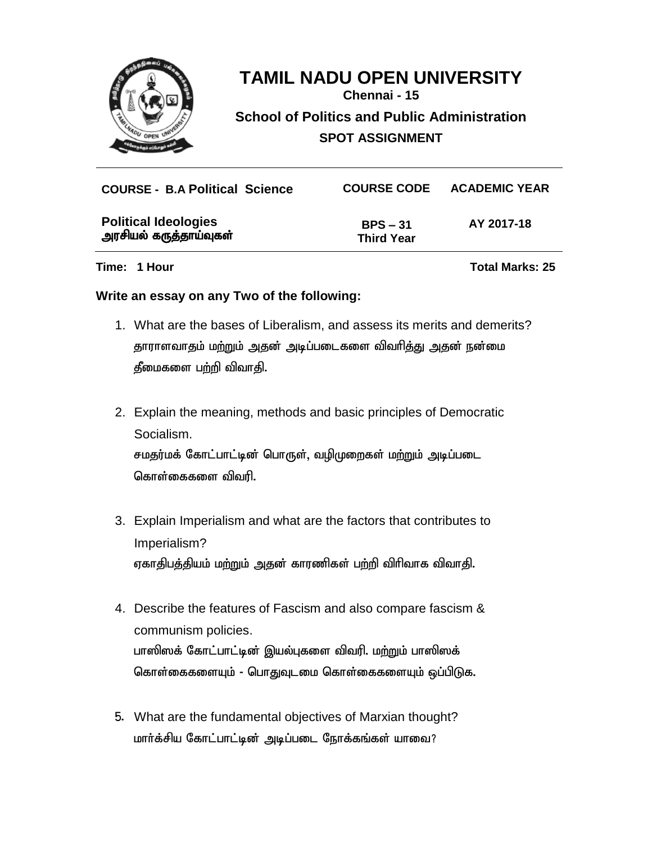

**Chennai - 15**

**School of Politics and Public Administration**

**SPOT ASSIGNMENT**

| <b>COURSE - B.A Political Science</b>                 | <b>COURSE CODE</b>              | <b>ACADEMIC YEAR</b> |
|-------------------------------------------------------|---------------------------------|----------------------|
| <b>Political Ideologies</b><br>அரசியல் கருத்தாய்வுகள் | $BPS - 31$<br><b>Third Year</b> | AY 2017-18           |

**Time: 1 Hour Total Marks: 25**

#### **Write an essay on any Two of the following:**

- 1. What are the bases of Liberalism, and assess its merits and demerits? தாராளவாதம் மற்றும் அதன் அடிப்படைகளை விவரித்து அதன் நன்மை  $f$ மைகளை பற்றி விவாதி.
- 2. Explain the meaning, methods and basic principles of Democratic Socialism. சமதர்மக் கோட்பாட்டின் பொருள், வழிமுறைகள் மற்றும் அடிப்படை கொள்கைகளை விவரி.
- 3. Explain Imperialism and what are the factors that contributes to Imperialism? ஏகாதிபத்தியம் மற்றும் அதன் காரணிகள் பற்றி விரிவாக விவாதி.
- 4. Describe the features of Fascism and also compare fascism & communism policies. பாஸிஸக் கோட்பாட்டின் இயல்புகளை விவரி. ம<u>ற்று</u>ம் பாஸிஸக் கொள்கைகளையும் - பொதுவுடமை கொள்கைகளையும் ஒப்பிடுக.
- 5. What are the fundamental objectives of Marxian thought? மார்க்சிய கோட்பாட்டின் அடிப்படை நோக்கங்கள் யாவை?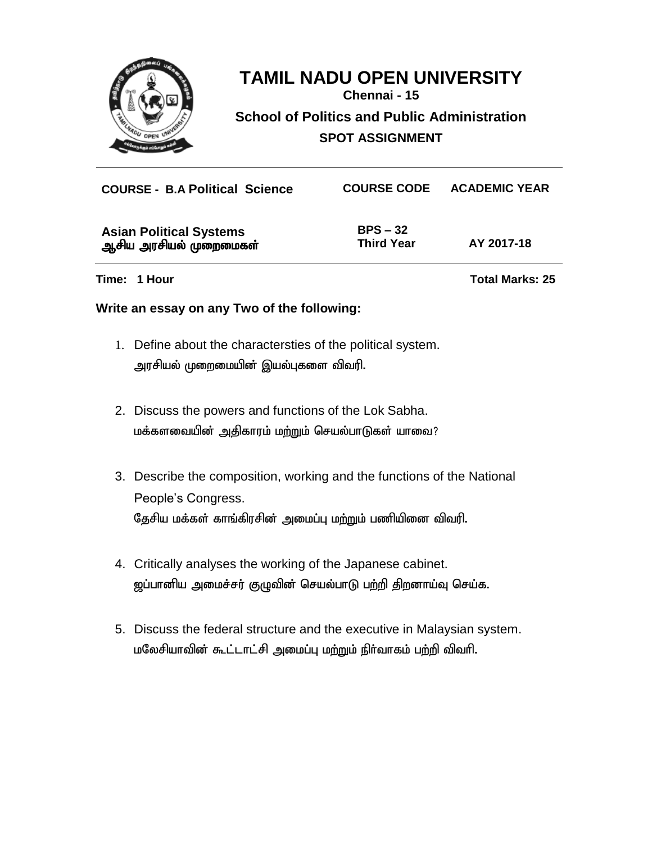

**Chennai - 15**

**School of Politics and Public Administration**

**SPOT ASSIGNMENT**

| <b>COURSE - B.A Political Science</b>                    | <b>COURSE CODE</b>              | <b>ACADEMIC YEAR</b> |  |  |
|----------------------------------------------------------|---------------------------------|----------------------|--|--|
| <b>Asian Political Systems</b><br>ஆசிய அரசியல் முறைமைகள் | $BPS - 32$<br><b>Third Year</b> | AY 2017-18           |  |  |
| Time: 1 Hour                                             | <b>Total Marks: 25</b>          |                      |  |  |
| Write an essay on any Two of the following:              |                                 |                      |  |  |

- 1. Define about the charactersties of the political system. அரசியல் முறைமையின் இயல்புகளை விவரி.
- 2. Discuss the powers and functions of the Lok Sabha. மக்களவையின் அதிகாரம் மற்றும் செயல்பாடுகள் யாவை?
- 3. Describe the composition, working and the functions of the National People's Congress. தேசிய மக்கள் காங்கிரசின் அமைப்பு மற்றும் பணியினை விவரி.
- 4. Critically analyses the working of the Japanese cabinet. <u>ஜ</u>ப்பானிய அமைச்சர் குழுவின் செயல்பாடு பற்றி திறனாய்வு செய்க.
- 5. Discuss the federal structure and the executive in Malaysian system. மலேசியாவின் கூட்டாட்சி அமைப்பு மற்றும் நிர்வாகம் பற்றி விவரி.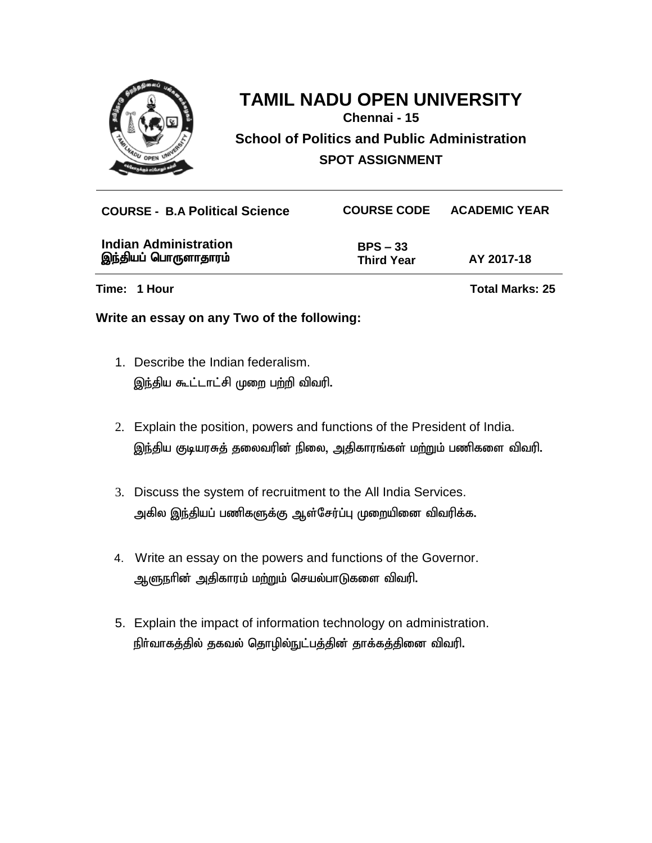

**Chennai - 15**

**School of Politics and Public Administration SPOT ASSIGNMENT**

| <b>COURSE - B.A Political Science</b>                | <b>COURSE CODE</b>              | <b>ACADEMIC YEAR</b>   |
|------------------------------------------------------|---------------------------------|------------------------|
| <b>Indian Administration</b><br>இந்தியப் பொருளாதாரம் | $BPS - 33$<br><b>Third Year</b> | AY 2017-18             |
| Time: 1 Hour                                         |                                 | <b>Total Marks: 25</b> |

#### **Write an essay on any Two of the following:**

- 1. Describe the Indian federalism. இந்திய கூட்டாட்சி முறை பற்றி விவரி.
- 2. Explain the position, powers and functions of the President of India. இந்திய குடியரசுத் தலைவரின் நிலை, அதிகாரங்கள் மற்றும் பணிகளை விவரி.
- 3. Discuss the system of recruitment to the All India Services. அகில இந்தியப் பணிகளுக்கு ஆள்சேர்ப்பு முறையினை விவரிக்க.
- 4. Write an essay on the powers and functions of the Governor. ஆளுநரின் அதிகாரம் மற்றும் செயல்பாடுகளை விவரி.
- 5. Explain the impact of information technology on administration. நிர்வாகத்தில் தகவல் தொழில்நுட்பத்தின் தாக்கத்தினை விவரி.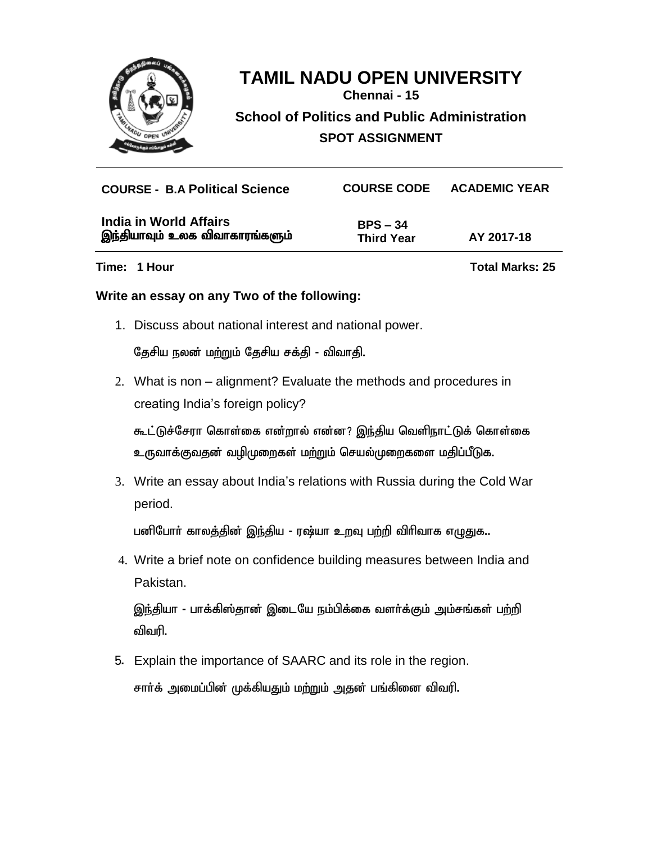

**Chennai - 15**

**School of Politics and Public Administration**

**SPOT ASSIGNMENT**

| <b>COURSE - B.A Political Science</b>                    | <b>COURSE CODE</b>              | <b>ACADEMIC YEAR</b> |
|----------------------------------------------------------|---------------------------------|----------------------|
| India in World Affairs<br>இந்தியாவும் உலக விவாகாரங்களும் | $BPS - 34$<br><b>Third Year</b> | AY 2017-18           |

**Time: 1 Hour Total Marks: 25**

#### **Write an essay on any Two of the following:**

1. Discuss about national interest and national power.

தேசிய நலன் மற்றும் தேசிய சக்தி - விவாதி.

2. What is non – alignment? Evaluate the methods and procedures in creating India's foreign policy?

கூட்டுச்சேரா கொள்கை என்றால் என்ன? இந்திய வெளிநாட்டுக் கொள்கை உருவாக்குவதன் வழிமுறைகள் மற்றும் செயல்முறைகளை மதிப்பீடுக.

3. Write an essay about India's relations with Russia during the Cold War period.

பனிபோர் காலத்தின் இந்திய - ரஷ்யா உறவு பற்றி விரிவாக எழுதுக..

4. Write a brief note on confidence building measures between India and Pakistan.

இந்தியா - பாக்கிஸ்தான் இடையே நம்பிக்கை வளர்க்கும் அம்சங்கள் பற்றி விவரி.

5. Explain the importance of SAARC and its role in the region.

சார்க் அமைப்பின் முக்கியதும் மற்றும் அதன் பங்கினை விவரி.